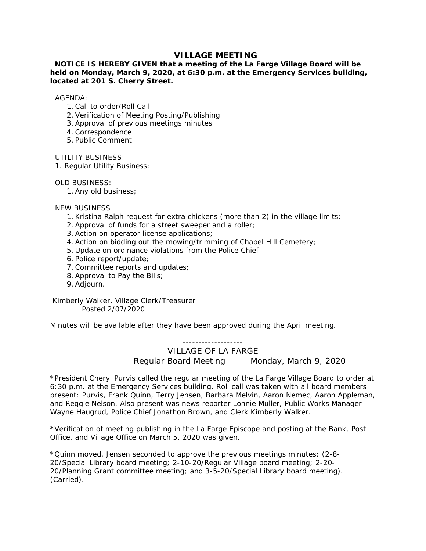## **VILLAGE MEETING**

## **NOTICE IS HEREBY GIVEN that a meeting of the La Farge Village Board will be held on Monday, March 9, 2020, at 6:30 p.m. at the Emergency Services building, located at 201 S. Cherry Street.**

AGENDA:

- 1. Call to order/Roll Call
- 2. Verification of Meeting Posting/Publishing
- 3. Approval of previous meetings minutes
- 4. Correspondence
- 5. Public Comment

UTILITY BUSINESS:

1. Regular Utility Business;

OLD BUSINESS:

1. Any old business;

NEW BUSINESS

- 1. Kristina Ralph request for extra chickens (more than 2) in the village limits;
- 2. Approval of funds for a street sweeper and a roller;
- 3. Action on operator license applications;
- 4. Action on bidding out the mowing/trimming of Chapel Hill Cemetery;
- 5. Update on ordinance violations from the Police Chief
- 6. Police report/update;
- 7. Committee reports and updates;
- 8. Approval to Pay the Bills;
- 9. Adjourn.

 Kimberly Walker, Village Clerk/Treasurer Posted 2/07/2020

Minutes will be available after they have been approved during the April meeting.

-------------------

VILLAGE OF LA FARGE Regular Board Meeting Monday, March 9, 2020

\*President Cheryl Purvis called the regular meeting of the La Farge Village Board to order at 6:30 p.m. at the Emergency Services building. Roll call was taken with all board members present: Purvis, Frank Quinn, Terry Jensen, Barbara Melvin, Aaron Nemec, Aaron Appleman, and Reggie Nelson. Also present was news reporter Lonnie Muller, Public Works Manager Wayne Haugrud, Police Chief Jonathon Brown, and Clerk Kimberly Walker.

\*Verification of meeting publishing in the La Farge Episcope and posting at the Bank, Post Office, and Village Office on March 5, 2020 was given.

\*Quinn moved, Jensen seconded to approve the previous meetings minutes: (2-8- 20/Special Library board meeting; 2-10-20/Regular Village board meeting; 2-20- 20/Planning Grant committee meeting; and 3-5-20/Special Library board meeting). (Carried).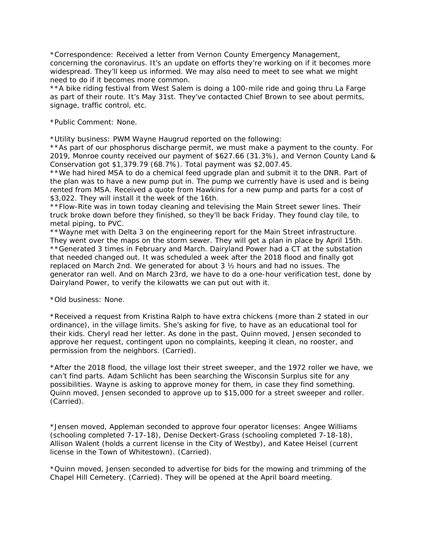\*Correspondence: Received a letter from Vernon County Emergency Management, concerning the coronavirus. It's an update on efforts they're working on if it becomes more widespread. They'll keep us informed. We may also need to meet to see what we might need to do if it becomes more common.

\*\*A bike riding festival from West Salem is doing a 100-mile ride and going thru La Farge as part of their route. It's May 31st. They've contacted Chief Brown to see about permits, signage, traffic control, etc.

\*Public Comment: None.

\*Utility business: PWM Wayne Haugrud reported on the following:

\*\*As part of our phosphorus discharge permit, we must make a payment to the county. For 2019, Monroe county received our payment of \$627.66 (31.3%), and Vernon County Land & Conservation got \$1,379.79 (68.7%). Total payment was \$2,007.45.

\*\*We had hired MSA to do a chemical feed upgrade plan and submit it to the DNR. Part of the plan was to have a new pump put in. The pump we currently have is used and is being rented from MSA. Received a quote from Hawkins for a new pump and parts for a cost of \$3,022. They will install it the week of the 16th.

\*\*Flow-Rite was in town today cleaning and televising the Main Street sewer lines. Their truck broke down before they finished, so they'll be back Friday. They found clay tile, to metal piping, to PVC.

\*\*Wayne met with Delta 3 on the engineering report for the Main Street infrastructure. They went over the maps on the storm sewer. They will get a plan in place by April 15th. \*\*Generated 3 times in February and March. Dairyland Power had a CT at the substation that needed changed out. It was scheduled a week after the 2018 flood and finally got replaced on March 2nd. We generated for about 3 ½ hours and had no issues. The generator ran well. And on March 23rd, we have to do a one-hour verification test, done by Dairyland Power, to verify the kilowatts we can put out with it.

\*Old business: None.

\*Received a request from Kristina Ralph to have extra chickens (more than 2 stated in our ordinance), in the village limits. She's asking for five, to have as an educational tool for their kids. Cheryl read her letter. As done in the past, Quinn moved, Jensen seconded to approve her request, contingent upon no complaints, keeping it clean, no rooster, and permission from the neighbors. (Carried).

\*After the 2018 flood, the village lost their street sweeper, and the 1972 roller we have, we can't find parts. Adam Schlicht has been searching the Wisconsin Surplus site for any possibilities. Wayne is asking to approve money for them, in case they find something. Quinn moved, Jensen seconded to approve up to \$15,000 for a street sweeper and roller. (Carried).

\*Jensen moved, Appleman seconded to approve four operator licenses: Angee Williams (schooling completed 7-17-18), Denise Deckert-Grass (schooling completed 7-18-18), Allison Walent (holds a current license in the City of Westby), and Katee Heisel (current license in the Town of Whitestown). (Carried).

\*Quinn moved, Jensen seconded to advertise for bids for the mowing and trimming of the Chapel Hill Cemetery. (Carried). They will be opened at the April board meeting.